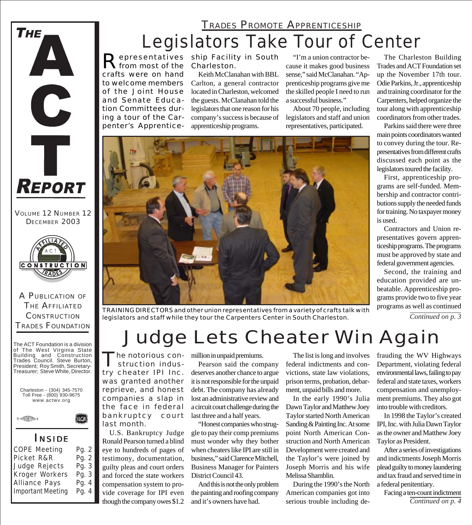

VOLUME 12 NUMBER 12 DECEMBER 2003



A PUBLICATION OF THE AFFILIATED **CONSTRUCTION** TRADES FOUNDATION

The ACT Foundation is a division of The West Virginia State Building and Construction Trades Council. Steve Burton, President; Roy Smith, Secretary-Treasurer; Steve White, Director.



## *I NSIDE*

IIICA

| COPE Meeting      | Pg. 2 |
|-------------------|-------|
| Picket R&R        | Pg. 2 |
| Judge Rejects     | Pg. 3 |
| Kroger Workers    | Pg. 3 |
| Alliance Pays     | Pg. 4 |
| Important Meeting | Pg. 4 |
|                   |       |

## Legislators Take Tour of Center TRADES PROMOTE APPRENTICESHIP

epresentatives from most of the crafts were on hand to welcome members ship Facility in South Charleston. Keith McClanahan with BBL

Carlton, a general contractor located in Charleston, welcomed the guests. McClanahan told the legislators that one reason for his company's success is because of apprenticeship programs.

"I'm a union contractor because it makes good business sense," said McClanahan. "Apprenticeship programs give me the skilled people I need to run a successful business."

About 70 people, including legislators and staff and union representatives, participated.



*TRAINING DIRECTORS and other union representatives from a variety of crafts talk with legislators and staff while they tour the Carpenters Center in South Charleston. Continued on p. 3* 

# Judge Lets Cheater Win Again

The notorious construction industry cheater IPI Inc. was granted another reprieve, and honest companies a slap in the face in federal bankruptcy court last month.

of the Joint House and Senate Education Committees during a tour of the Carpenter's Apprentice-

U.S. Bankruptcy Judge Ronald Pearson turned a blind eye to hundreds of pages of testimony, documentation, guilty pleas and court orders and forced the state workers compensation system to provide coverage for IPI even though the company owes \$1.2

million in unpaid premiums.

Pearson said the company deserves another chance to argue it is not responsible for the unpaid debt. The company has already lost an administrative review and a circuit court challenge during the last three and a half years.

"Honest companies who struggle to pay their comp premiums must wonder why they bother when cheaters like IPI are still in business," said Clarence Mitchell, Business Manager for Painters District Council 43.

And this is not the only problem the painting and roofing company and it's owners have had.

The list is long and involves federal indictments and convictions, state law violations, prison terms, probation, debarment, unpaid bills and more.

In the early 1990's Julia Dawn Taylor and Matthew Joey Taylor started North American Sanding & Painting Inc. At some point North American Construction and North American Development were created and the Taylor's were joined by Joseph Morris and his wife Melissa Shamblin.

During the 1990's the North American companies got into serious trouble including de-

The Charleston Building Trades and ACT Foundation set up the November 17th tour. Odie Parkins, Jr., apprenticeship and training coordinator for the Carpenters, helped organize the tour along with apprenticeship coordinators from other trades.

Parkins said there were three main points coordinators wanted to convey during the tour. Representatives from different crafts discussed each point as the legislators toured the facility.

First, apprenticeship programs are self-funded. Membership and contractor contributions supply the needed funds for training. No taxpayer money is used.

Contractors and Union representatives govern apprenticeship programs. The programs must be approved by state and federal government agencies.

Second, the training and education provided are unbeatable. Apprenticeship programs provide two to five year programs as well as continued

Department, violating federal environmental laws, failing to pay federal and state taxes, workers compensation and unemployment premiums. They also got into trouble with creditors.

frauding the WV Highways

In 1998 the Taylor's created IPI, Inc. with Julia Dawn Taylor as the owner and Matthew Joey Taylor as President.

After a series of investigations and indictments Joseph Morris plead guilty to money laundering and tax fraud and served time in a federal penitentiary.

Facing a ten-count indictment *Continued on p. 4*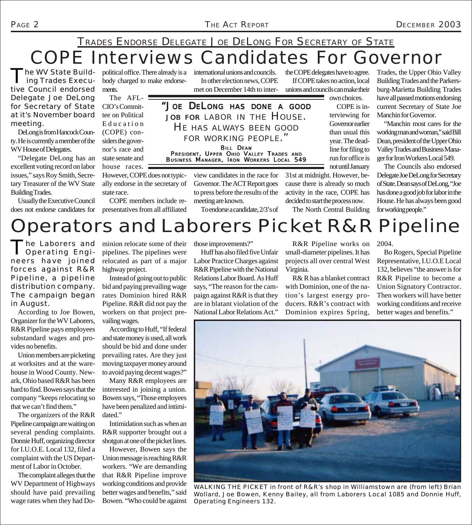PAGE 2 *THE ACT REPORT* DECEMBER 2003

## COPE Interviews Candidates For Governor TRADES ENDORSE DELEGATE JOE DELONG FOR SECRETARY OF STATE

The WV State Building Trades Executive Council endorsed Delegate Joe DeLong for Secretary of State at it's November board meeting.

DeLong is from Hancock County. He is currently a member of the WV House of Delegates.

"Delegate DeLong has an excellent voting record on labor issues," says Roy Smith, Secretary Treasurer of the WV State Building Trades.

Usually the Executive Council does not endorse candidates for

political office. There already is a international unions and councils. body charged to make endorsements.

The AFL-CIO's Committee on Political Education (COPE) considers the governor's race and state senate and house races.

state race.

In other election news, COPE met on December 14th to inter-

the COPE delegates have to agree. If COPE takes no action, local unions and councils can make their

 $\sim$ 

COPE is interviewing for Governor earlier than usual this year. The deadline for filing to run for office is not until January

own choices.

31st at midnight. However, because there is already so much activity in the race, COPE has decided to start the process now.

The North Central Building

Trades, the Upper Ohio Valley Building Trades and the Parkersburg-Marietta Building Trades have all passed motions endorsing current Secretary of State Joe Manchin for Governor.

"Manchin most cares for the working man and woman," said Bill Dean, president of the Upper Ohio Valley Trades and Business Manager for Iron Workers Local 549.

The Councils also endorsed Delegate Joe DeLong for Secretary of State. Dean says of DeLong, "Joe has done a good job for labor in the House. He has always been good for working people."

*"JOE DELONG HAS DONE A GOOD JOB FOR LABOR IN THE HOUSE. HE HAS ALWAYS BEEN GOOD FOR WORKING PEOPLE."*

BILL DEAN PRESIDENT, UPPER OHIO VALLEY TRADES AND BUSINESS MANAGER, IRON WORKERS LOCAL 549

However, COPE does not typically endorse in the secretary of COPE members include re-

presentatives from all affiliated

view candidates in the race for Governor. The ACT Report goes to press before the results of the meeting are known.

To endorse a candidate, 2/3's of

# Operators and Laborers Picket R&R Pipeline

The Laborers and Operating Engineers have joined forces against R&R Pipeline, a pipeline distribution company. The campaign began in August.

According to Joe Bowen, Organizer for the WV Laborers, R&R Pipeline pays employees substandard wages and provides no benefits.

Union members are picketing at worksites and at the warehouse in Wood County. Newark, Ohio based R&R has been hard to find. Bowen says that the company "keeps relocating so that we can't find them."

The organizers of the R&R Pipeline campaign are waiting on several pending complaints. Donnie Huff, organizing director for I.U.O.E. Local 132, filed a complaint with the US Department of Labor in October.

The complaint alleges that the WV Department of Highways should have paid prevailing wage rates when they had Dominion relocate some of their pipelines. The pipelines were relocated as part of a major highway project.

Instead of going out to public bid and paying prevailing wage rates Dominion hired R&R Pipeline. R&R did not pay the workers on that project prevailing wages.

According to Huff, "If federal and state money is used, all work should be bid and done under prevailing rates. Are they just moving taxpayer money around to avoid paying decent wages?"

Many R&R employees are interested in joining a union. Bowen says, "Those employees have been penalized and intimidated."

Intimidation such as when an R&R supporter brought out a shotgun at one of the picket lines.

However, Bowen says the Union message is reaching R&R workers. "We are demanding that R&R Pipeline improve working conditions and provide better wages and benefits," said Bowen. "Who could be against

those improvements?"

Huff has also filed five Unfair Labor Practice Charges against R&R Pipeline with the National Relations Labor Board. As Huff says, "The reason for the campaign against R&R is that they are in blatant violation of the National Labor Relations Act."

R&R Pipeline works on small-diameter pipelines. It has projects all over central West Representative, I.U.O.E Local Virginia.

R& R has a blanket contract with Dominion, one of the nation's largest energy producers. R&R's contract with Dominion expires Spring,

2004.

Bo Rogers, Special Pipeline 132, believes "the answer is for R&R Pipeline to become a Union Signatory Contractor. Then workers will have better working conditions and receive better wages and benefits."



WALKING THE PICKET in front of R&R's shop in Williamstown are (from left) Brian Wollard, Joe Bowen, Kenny Bailey, all from Laborers Local 1085 and Donnie Huff, Operating Engineers 132.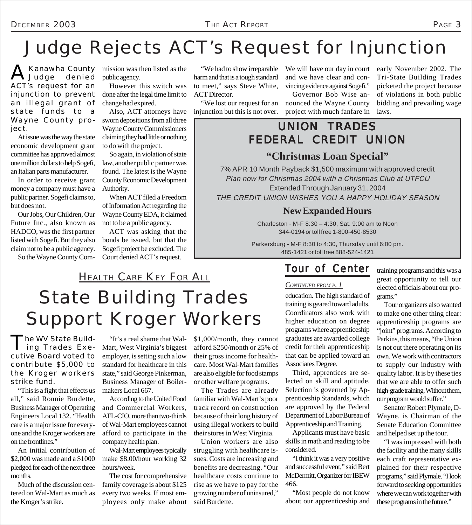# Judge Rejects ACT's Request for Injunction

Kanawha County<br>Judge denied denied ACT's request for an injunction to prevent an illegal grant of state funds to a Wayne County project.

At issue was the way the state economic development grant committee has approved almost one million dollars to help Sogefi, an Italian parts manufacturer.

In order to receive grant money a company must have a public partner. Sogefi claims to, but does not.

Our Jobs, Our Children, Our Future Inc., also known as HADCO, was the first partner listed with Sogefi. But they also claim not to be a public agency.

So the Wayne County Com-

mission was then listed as the public agency.

However this switch was done after the legal time limit to change had expired.

Also, ACT attorneys have sworn depositions from all three Wayne County Commissioners claiming they had little or nothing to do with the project.

So again, in violation of state law, another public partner was found. The latest is the Wayne County Economic Development Authority.

When ACT filed a Freedom of Information Act regarding the Wayne County EDA, it claimed not to be a public agency.

ACT was asking that the bonds be issued, but that the Sogefi project be excluded. The Court denied ACT's request.

"We had to show irreparable harm and that is a tough standard to meet," says Steve White, ACT Director.

"We lost our request for an injunction but this is not over. We will have our day in court and we have clear and convincing evidence against Sogefi."

Governor Bob Wise announced the Wayne County project with much fanfare in early November 2002. The Tri-State Building Trades picketed the project because of violations in both public bidding and prevailing wage laws.

### UNION TRADES FEDERAL CREDIT UNION

### **"Christmas Loan Special"**

7% APR 10 Month Payback \$1,500 maximum with approved credit Plan now for Christmas 2004 with a Christmas Club at UTFCU Extended Through January 31, 2004 THE CREDIT UNION WISHES YOU A HAPPY HOLIDAY SEASON

### **New Expanded Hours**

Charleston - M-F 8:30 – 4:30, Sat. 9:00 am to Noon 344-0194 or toll free 1-800-450-8530

Parkersburg - M-F 8:30 to 4:30, Thursday until 6:00 pm. 485-1421 or toll free 888-524-1421

## State Building Trades Support Kroger Workers **HEALTH CARE KEY FOR ALL**

The WV State Build-<br>ing Trades Executive Board voted to contribute \$5,000 to the Kroger workers strike fund.

"This is a fight that effects us all," said Ronnie Burdette, Business Manager of Operating Engineers Local 132. "Health care is a major issue for everyone and the Kroger workers are on the frontlines."

An initial contribution of \$2,000 was made and a \$1000 pledged for each of the next three months.

Much of the discussion centered on Wal-Mart as much as the Kroger's strike.

"It's a real shame that Wal-Mart, West Virginia's biggest employer, is setting such a low standard for healthcare in this state," said George Pinkerman, Business Manager of Boilermakers Local 667.

According to the United Food and Commercial Workers, AFL-CIO, more than two-thirds of Wal-Mart employees cannot afford to participate in the company health plan.

Wal-Mart employees typically make \$8.00/hour working 32 hours/week.

The cost for comprehensive family coverage is about \$125 every two weeks. If most employees only make about \$1,000/month, they cannot afford \$250/month or 25% of their gross income for healthcare. Most Wal-Mart families are also eligible for food stamps or other welfare programs.

The Trades are already familiar with Wal-Mart's poor track record on construction because of their long history of using illegal workers to build their stores in West Virginia.

Union workers are also struggling with healthcare issues. Costs are increasing and benefits are decreasing. "Our healthcare costs continue to rise as we have to pay for the growing number of uninsured," said Burdette.

## *Tour of Center*

### *CONTINUED FROM P. 1*

education. The high standard of training is geared toward adults. Coordinators also work with higher education on degree programs where apprenticeship graduates are awarded college credit for their apprenticeship that can be applied toward an Associates Degree.

Third, apprentices are selected on skill and aptitude. Selection is governed by Apprenticeship Standards, which are approved by the Federal Department of Labor/Bureau of Apprenticeship and Training.

Applicants must have basic skills in math and reading to be considered.

"I think it was a very positive and successful event," said Bert McDermitt, Organizer for IBEW 466.

"Most people do not know about our apprenticeship and

training programs and this was a great opportunity to tell our elected officials about our programs."

Tour organizers also wanted to make one other thing clear: apprenticeship programs are "joint" programs. According to Parkins, this means, "the Union is not out there operating on its own. We work with contractors to supply our industry with quality labor. It is by these ties that we are able to offer such high-grade training. Without them, our program would suffer."

Senator Robert Plymale, D-Wayne, is Chairman of the Senate Education Committee and helped set up the tour.

"I was impressed with both the facility and the many skills each craft representative explained for their respective programs," said Plymale. "I look forward to seeking opportunities where we can work together with these programs in the future."